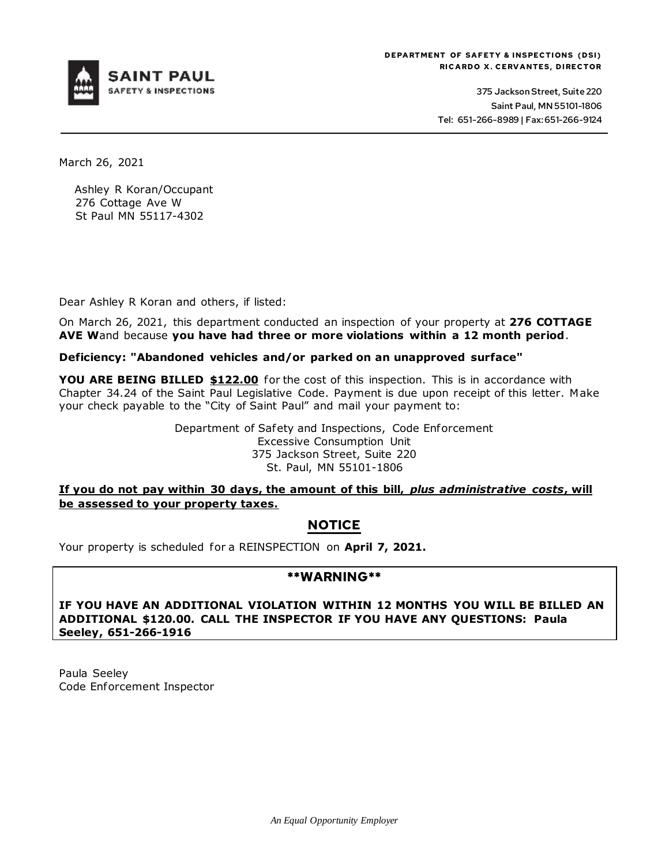

375 Jackson Street, Suite 220 Saint Paul, MN 55101-1806 Tel: 651-266-8989 | Fax: 651-266-9124

March 26, 2021

Ashley R Koran/Occupant 276 Cottage Ave W St Paul MN 55117-4302

Dear Ashley R Koran and others, if listed:

On March 26, 2021, this department conducted an inspection of your property at **276 COTTAGE AVE W**and because **you have had three or more violations within a 12 month period**.

### **Deficiency: "Abandoned vehicles and/or parked on an unapproved surface"**

**YOU ARE BEING BILLED \$122.00** for the cost of this inspection. This is in accordance with Chapter 34.24 of the Saint Paul Legislative Code. Payment is due upon receipt of this letter. Make your check payable to the "City of Saint Paul" and mail your payment to:

> Department of Safety and Inspections, Code Enforcement Excessive Consumption Unit 375 Jackson Street, Suite 220 St. Paul, MN 55101-1806

**If you do not pay within 30 days, the amount of this bill,** *plus administrative costs***, will be assessed to your property taxes.**

# **NOTICE**

Your property is scheduled for a REINSPECTION on **April 7, 2021.**

## **\*\*WARNING\*\***

**IF YOU HAVE AN ADDITIONAL VIOLATION WITHIN 12 MONTHS YOU WILL BE BILLED AN ADDITIONAL \$120.00. CALL THE INSPECTOR IF YOU HAVE ANY QUESTIONS: Paula Seeley, 651-266-1916**

Paula Seeley Code Enforcement Inspector